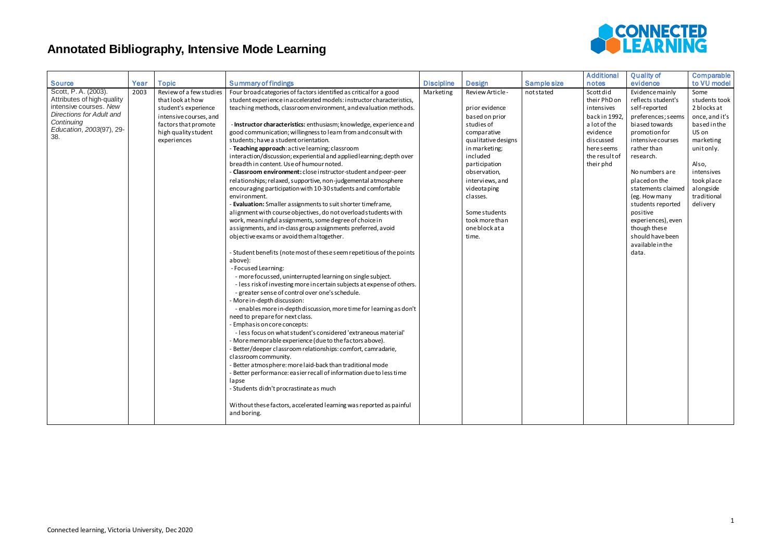

| <b>Source</b>                                                                                                                                                   | Year | <b>Topic</b>                                                                                                                                                 | <b>Summary of findings</b>                                                                                                                                                                                                                                                                                                                                                                                                                                                                                                                                                                                                                                                                                                                                                                                                                                                                                                                                                                                                                                                                                                                                                                                                                                                                                                                                                                                                                                                                                                                                                                                                                                                                                                                                                                                                                                                                                                                                                                                                                                                           | <b>Discipline</b> | <b>Design</b>                                                                                                                                                                                                                                                                   | Sample size | <b>Additional</b><br>notes                                                                                                                    | <b>Quality of</b><br>evidence                                                                                                                                                                                                                                                                                                                                      | Comparable<br>to VU model                                                                                                                                                              |
|-----------------------------------------------------------------------------------------------------------------------------------------------------------------|------|--------------------------------------------------------------------------------------------------------------------------------------------------------------|--------------------------------------------------------------------------------------------------------------------------------------------------------------------------------------------------------------------------------------------------------------------------------------------------------------------------------------------------------------------------------------------------------------------------------------------------------------------------------------------------------------------------------------------------------------------------------------------------------------------------------------------------------------------------------------------------------------------------------------------------------------------------------------------------------------------------------------------------------------------------------------------------------------------------------------------------------------------------------------------------------------------------------------------------------------------------------------------------------------------------------------------------------------------------------------------------------------------------------------------------------------------------------------------------------------------------------------------------------------------------------------------------------------------------------------------------------------------------------------------------------------------------------------------------------------------------------------------------------------------------------------------------------------------------------------------------------------------------------------------------------------------------------------------------------------------------------------------------------------------------------------------------------------------------------------------------------------------------------------------------------------------------------------------------------------------------------------|-------------------|---------------------------------------------------------------------------------------------------------------------------------------------------------------------------------------------------------------------------------------------------------------------------------|-------------|-----------------------------------------------------------------------------------------------------------------------------------------------|--------------------------------------------------------------------------------------------------------------------------------------------------------------------------------------------------------------------------------------------------------------------------------------------------------------------------------------------------------------------|----------------------------------------------------------------------------------------------------------------------------------------------------------------------------------------|
| Scott, P.A. (2003).<br>Attributes of high-quality<br>intensive courses. New<br><b>Directions for Adult and</b><br>Continuing<br>Education, 2003(97), 29-<br>38. | 2003 | Review of a few studies<br>that look at how<br>student's experience<br>intensive courses, and<br>factors that promote<br>high quality student<br>experiences | Four broad categories of factors identified as critical for a good<br>student experience in accelerated models: instructor characteristics,<br>teaching methods, classroom environment, and evaluation methods.<br>- Instructor characteristics: enthusiasm; knowledge, experience and<br>good communication; willingness to learn from and consult with<br>students; have a student orientation.<br>- Teaching approach: active learning; classroom<br>interaction/discussion; experiential and applied learning; depth over<br>breadth in content. Use of humour noted.<br>- Classroom environment: close instructor-student and peer-peer<br>relationships; relaxed, supportive, non-judgemental atmosphere<br>encouraging participation with 10-30 students and comfortable<br>environment.<br>- Evaluation: Smaller assignments to suit shorter timeframe,<br>alignment with course objectives, do not overload students with<br>work, meaningful assignments, some degree of choice in<br>assignments, and in-class group assignments preferred, avoid<br>objective exams or avoid them altogether.<br>- Student benefits (note most of these seem repetitious of the points<br>above):<br>- Focused Learning:<br>- more focussed, uninterrupted learning on single subject.<br>- less risk of investing more in certain subjects at expense of others.<br>- greater sense of control over one's schedule.<br>More in-depth discussion:<br>- enables more in-depth discussion, more time for learning as don't<br>need to prepare for next class.<br>Emphasis on core concepts:<br>- less focus on what student's considered 'extraneous material'<br>More memorable experience (due to the factors above).<br>Better/deeper classroom relationships: comfort, camradarie,<br>classroom community.<br>Better atmosphere: more laid-back than traditional mode<br>- Better performance: easier recall of information due to less time<br>lapse<br>- Students didn't procrastinate as much<br>Without these factors, accelerated learning was reported as painful<br>and boring. | Marketing         | Review Article -<br>prior evidence<br>based on prior<br>studies of<br>comparative<br>qualitative designs<br>in marketing;<br>included<br>participation<br>observation,<br>interviews, and<br>videotaping<br>classes.<br>Some students<br>took more than<br>oneblockata<br>time. | not stated  | Scott did<br>their PhD on<br>intensives<br>back in 1992,<br>a lot of the<br>evidence<br>discussed<br>here seems<br>the result of<br>their phd | Evidence mainly<br>reflects student's<br>self-reported<br>preferences; seems<br>biased towards<br>promotion for<br>intensive courses<br>rather than<br>research.<br>No numbers are<br>placed on the<br>statements claimed<br>(eg. How many<br>students reported<br>positive<br>experiences), even<br>though these<br>should have been<br>available in the<br>data. | Some<br>students took<br>2 blocks at<br>once, and it's<br>based in the<br>US on<br>marketing<br>unitonly.<br>Also,<br>intensives<br>took place<br>alongside<br>traditional<br>delivery |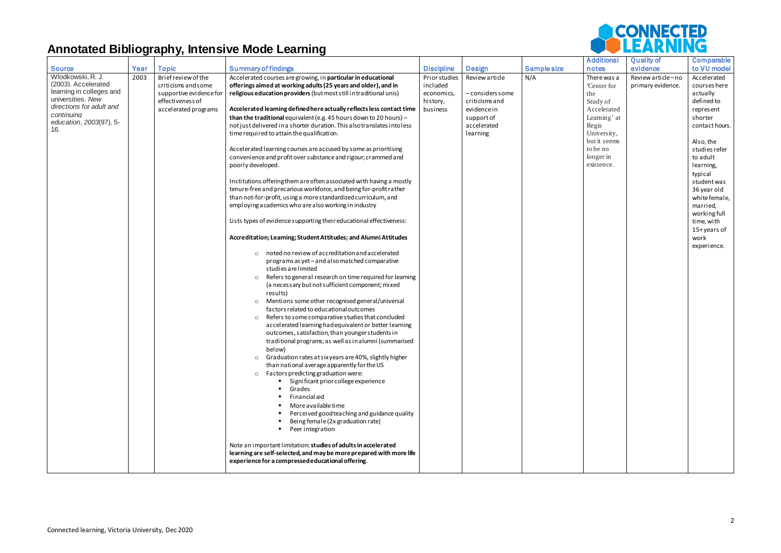|                                        |      |                         |                                                                                                                                       |                   |                  |             | <b>Additional</b>        | <b>Quality of</b> | Comparable                 |
|----------------------------------------|------|-------------------------|---------------------------------------------------------------------------------------------------------------------------------------|-------------------|------------------|-------------|--------------------------|-------------------|----------------------------|
| <b>Source</b>                          | Year | <b>Topic</b>            | <b>Summary of findings</b>                                                                                                            | <b>Discipline</b> | <b>Design</b>    | Sample size | notes                    | evidence          | to VU model                |
| Wlodkowski, R. J.                      | 2003 | Brief review of the     | Accelerated courses are growing, in particular in educational                                                                         | Prior studies     | Review article   | N/A         | There was a              | Review article-no | Accelerated                |
| (2003). Accelerated                    |      | criticisms and some     | offerings aimed at working adults (25 years and older), and in                                                                        | included          |                  |             | 'Center for              | primary evidence. | courses here               |
| learning in colleges and               |      | supportive evidence for | religious education providers (but most still in traditional unis)                                                                    | economics,        | - considers some |             | the                      |                   | actually                   |
| universities. New                      |      | effectiveness of        |                                                                                                                                       | history,          | criticisms and   |             | Study of                 |                   | defined to                 |
| directions for adult and<br>continuing |      | accelerated programs    | Accelerated learning defined here actually reflects less contact time                                                                 | business          | evidencein       |             | Accelerated              |                   | represent                  |
| education, 2003(97), 5-                |      |                         | than the traditional equivalent (e.g. 45 hours down to 20 hours) -                                                                    |                   | support of       |             | Learning' at             |                   | shorter                    |
| 16.                                    |      |                         | not just delivered in a shorter duration. This also translates into less                                                              |                   | accelerated      |             | Regis                    |                   | contact hours.             |
|                                        |      |                         | time required to attain the qualification.                                                                                            |                   | learning         |             | University,              |                   |                            |
|                                        |      |                         | Accelerated learning courses are accused by some as prioritising                                                                      |                   |                  |             | but it seems<br>to be no |                   | Also, the<br>studies refer |
|                                        |      |                         | convenience and profit over substance and rigour; crammed and                                                                         |                   |                  |             | longer in                |                   | to adult                   |
|                                        |      |                         | poorly developed.                                                                                                                     |                   |                  |             | existence.               |                   | learning,                  |
|                                        |      |                         |                                                                                                                                       |                   |                  |             |                          |                   | typical                    |
|                                        |      |                         | Institutions offering them are often associated with having a mostly                                                                  |                   |                  |             |                          |                   | student was                |
|                                        |      |                         | tenure-free and precarious workforce, and being for-profit rather                                                                     |                   |                  |             |                          |                   | 36 year old                |
|                                        |      |                         | than not-for-profit, using a more standardized curriculum, and                                                                        |                   |                  |             |                          |                   | white female,              |
|                                        |      |                         | employing academics who are also working in industry                                                                                  |                   |                  |             |                          |                   | married,                   |
|                                        |      |                         |                                                                                                                                       |                   |                  |             |                          |                   | working full               |
|                                        |      |                         | Lists types of evidence supporting their educational effectiveness:                                                                   |                   |                  |             |                          |                   | time, with                 |
|                                        |      |                         |                                                                                                                                       |                   |                  |             |                          |                   | 15+years of                |
|                                        |      |                         | Accreditation; Learning; Student Attitudes; and Alumni Attitudes                                                                      |                   |                  |             |                          |                   | work                       |
|                                        |      |                         | noted no review of accreditation and accelerated<br>$\circ$                                                                           |                   |                  |             |                          |                   | experience.                |
|                                        |      |                         | programs as yet - and also matched comparative                                                                                        |                   |                  |             |                          |                   |                            |
|                                        |      |                         | studies are limited                                                                                                                   |                   |                  |             |                          |                   |                            |
|                                        |      |                         | Refers to general research on time required for learning<br>$\circ$                                                                   |                   |                  |             |                          |                   |                            |
|                                        |      |                         | (a necessary but not sufficient component; mixed                                                                                      |                   |                  |             |                          |                   |                            |
|                                        |      |                         | results)                                                                                                                              |                   |                  |             |                          |                   |                            |
|                                        |      |                         | Mentions some other recognised general/universal<br>$\circ$                                                                           |                   |                  |             |                          |                   |                            |
|                                        |      |                         | factors related to educational outcomes                                                                                               |                   |                  |             |                          |                   |                            |
|                                        |      |                         | Refers to some comparative studies that concluded<br>$\circ$                                                                          |                   |                  |             |                          |                   |                            |
|                                        |      |                         | accelerated learning had equivalent or better learning                                                                                |                   |                  |             |                          |                   |                            |
|                                        |      |                         | outcomes, satisfaction, than younger students in                                                                                      |                   |                  |             |                          |                   |                            |
|                                        |      |                         | traditional programs; as well as in alumni (summarised<br>below)                                                                      |                   |                  |             |                          |                   |                            |
|                                        |      |                         | Graduation rates at six years are 40%, slightly higher<br>$\circ$                                                                     |                   |                  |             |                          |                   |                            |
|                                        |      |                         | than national average apparently for the US                                                                                           |                   |                  |             |                          |                   |                            |
|                                        |      |                         | Factors predicting graduation were:<br>$\circ$                                                                                        |                   |                  |             |                          |                   |                            |
|                                        |      |                         | Significant prior college experience                                                                                                  |                   |                  |             |                          |                   |                            |
|                                        |      |                         | Grades                                                                                                                                |                   |                  |             |                          |                   |                            |
|                                        |      |                         | Financial aid                                                                                                                         |                   |                  |             |                          |                   |                            |
|                                        |      |                         | More available time                                                                                                                   |                   |                  |             |                          |                   |                            |
|                                        |      |                         | Perceived good teaching and guidance quality                                                                                          |                   |                  |             |                          |                   |                            |
|                                        |      |                         | Being female (2x graduation rate)                                                                                                     |                   |                  |             |                          |                   |                            |
|                                        |      |                         | Peer integration                                                                                                                      |                   |                  |             |                          |                   |                            |
|                                        |      |                         |                                                                                                                                       |                   |                  |             |                          |                   |                            |
|                                        |      |                         | Note an important limitation: studies of adults in accelerated<br>learning are self-selected, and may be more prepared with more life |                   |                  |             |                          |                   |                            |
|                                        |      |                         | experience for a compressed educational offering.                                                                                     |                   |                  |             |                          |                   |                            |
|                                        |      |                         |                                                                                                                                       |                   |                  |             |                          |                   |                            |
|                                        |      |                         |                                                                                                                                       |                   |                  |             |                          |                   |                            |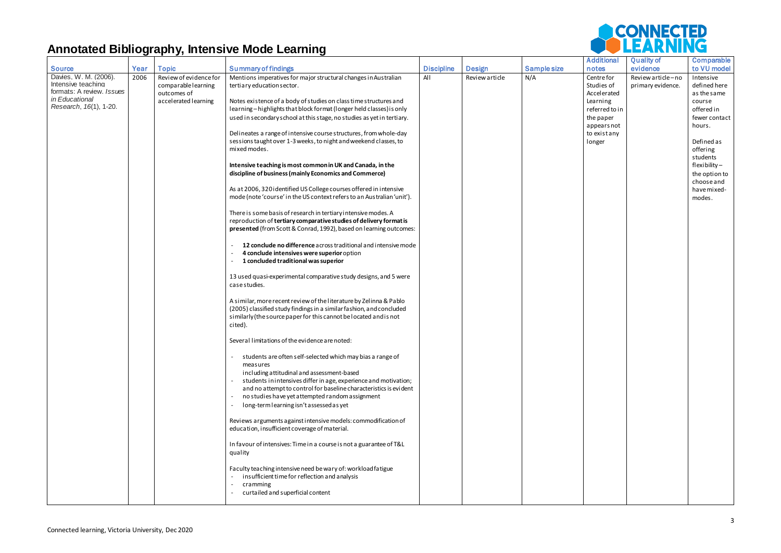|                                                                                                                      |      |                                                                                      |                                                                                                                                                                                                                                                                                                                                                                                                                                                                                                                                                                                                                                                                                                                                                                                                                                                                                                                                                                                                                                                                                                                                                                                                                                                                                                                                                                                                                                                                                                                                                                                                                                                                                                                                                                                                                                                                                                                                                                                                                                                                                                                                                                                                                                         |                   |                |             | <b>Additional</b>                                                                                                          | <b>Quality of</b>                      | Comparable                                                                                                                                                                                               |
|----------------------------------------------------------------------------------------------------------------------|------|--------------------------------------------------------------------------------------|-----------------------------------------------------------------------------------------------------------------------------------------------------------------------------------------------------------------------------------------------------------------------------------------------------------------------------------------------------------------------------------------------------------------------------------------------------------------------------------------------------------------------------------------------------------------------------------------------------------------------------------------------------------------------------------------------------------------------------------------------------------------------------------------------------------------------------------------------------------------------------------------------------------------------------------------------------------------------------------------------------------------------------------------------------------------------------------------------------------------------------------------------------------------------------------------------------------------------------------------------------------------------------------------------------------------------------------------------------------------------------------------------------------------------------------------------------------------------------------------------------------------------------------------------------------------------------------------------------------------------------------------------------------------------------------------------------------------------------------------------------------------------------------------------------------------------------------------------------------------------------------------------------------------------------------------------------------------------------------------------------------------------------------------------------------------------------------------------------------------------------------------------------------------------------------------------------------------------------------------|-------------------|----------------|-------------|----------------------------------------------------------------------------------------------------------------------------|----------------------------------------|----------------------------------------------------------------------------------------------------------------------------------------------------------------------------------------------------------|
| <b>Source</b>                                                                                                        | Year | <b>Topic</b>                                                                         | <b>Summary of findings</b>                                                                                                                                                                                                                                                                                                                                                                                                                                                                                                                                                                                                                                                                                                                                                                                                                                                                                                                                                                                                                                                                                                                                                                                                                                                                                                                                                                                                                                                                                                                                                                                                                                                                                                                                                                                                                                                                                                                                                                                                                                                                                                                                                                                                              | <b>Discipline</b> | <b>Design</b>  | Sample size | notes                                                                                                                      | evidence                               | to VU model                                                                                                                                                                                              |
| Davies, W. M. (2006).<br>Intensive teaching<br>formats: A review. Issues<br>in Educational<br>Research, 16(1), 1-20. | 2006 | Review of evidence for<br>comparable learning<br>outcomes of<br>accelerated learning | Mentions imperatives for major structural changes in Australian<br>tertiary education sector.<br>Notes existence of a body of studies on class time structures and<br>learning-highlights that block format (longer held classes) is only<br>used in secondary school at this stage, no studies as yet in tertiary.<br>Delineates a range of intensive course structures, from whole-day<br>sessions taught over 1-3 weeks, to night and weekend classes, to<br>mixed modes.<br>Intensive teaching is most common in UK and Canada, in the<br>discipline of business (mainly Economics and Commerce)<br>As at 2006, 320 identified US College courses offered in intensive<br>mode (note 'course' in the US context refers to an Australian 'unit').<br>There is some basis of research in tertiary intensive modes. A<br>reproduction of tertiary comparative studies of delivery format is<br>presented (from Scott & Conrad, 1992), based on learning outcomes:<br>12 conclude no difference across traditional and intensive mode<br>4 conclude intensives were superior option<br>1 concluded traditional was superior<br>13 used quasi-experimental comparative study designs, and 5 were<br>case studies.<br>A similar, more recent review of the literature by Zelinna & Pablo<br>(2005) classified study findings in a similar fashion, and concluded<br>similarly (the source paper for this cannot be located and is not<br>cited).<br>Several limitations of the evidence are noted:<br>students are often self-selected which may bias a range of<br>measures<br>including attitudinal and assessment-based<br>students in intensives differ in age, experience and motivation;<br>and no attempt to control for baseline characteristics is evident<br>no studies have yet attempted random assignment<br>long-term learning isn't assessed as yet<br>Reviews arguments against intensive models: commodification of<br>education, insufficient coverage of material.<br>In favour of intensives: Time in a course is not a guarantee of T&L<br>quality<br>Faculty teaching intensive need be wary of: workload fatigue<br>insufficient time for reflection and analysis<br>cramming<br>curtailed and superficial content | All               | Review article | N/A         | Centre for<br>Studies of<br>Accelerated<br>Learning<br>referred to in<br>the paper<br>appears not<br>to existany<br>longer | Review article-no<br>primary evidence. | Intensive<br>defined here<br>as the same<br>course<br>offered in<br>fewer contact<br>hours.<br>Defined as<br>offering<br>students<br>flexibility-<br>the option to<br>chooseand<br>have mixed-<br>modes. |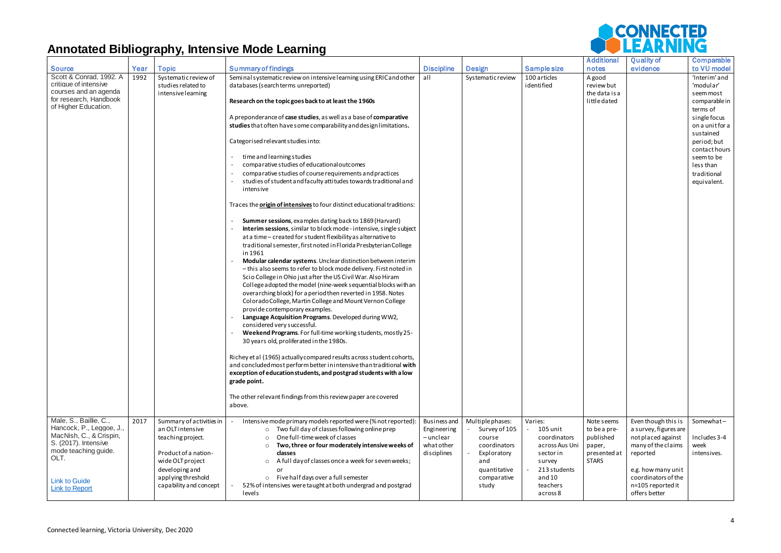

| <b>Source</b>            | Year | <b>Topic</b>             | <b>Summary of findings</b>                                                      | <b>Discipline</b> | <b>Design</b>     | Sample size    | <b>Additional</b><br>notes | <b>Quality of</b><br>evidence | Comparable<br>to VU model |
|--------------------------|------|--------------------------|---------------------------------------------------------------------------------|-------------------|-------------------|----------------|----------------------------|-------------------------------|---------------------------|
| Scott & Conrad, 1992. A  |      |                          |                                                                                 |                   |                   |                |                            |                               |                           |
| critique of intensive    | 1992 | Systematic review of     | Seminal systematic review on intensive learning using ERIC and other            | all               | Systematic review | 100 articles   | A good                     |                               | 'Interim' and             |
|                          |      | studies related to       | databases (searchterms unreported)                                              |                   |                   | identified     | review but                 |                               | 'modular'                 |
| courses and an agenda    |      | intensive learning       |                                                                                 |                   |                   |                | the data is a              |                               | seem most                 |
| for research, Handbook   |      |                          | Research on the topic goes back to at least the 1960s                           |                   |                   |                | little dated               |                               | comparable in             |
| of Higher Education.     |      |                          |                                                                                 |                   |                   |                |                            |                               | terms of                  |
|                          |      |                          | A preponderance of case studies, as well as a base of comparative               |                   |                   |                |                            |                               | singlefocus               |
|                          |      |                          | studies that often have some comparability and design limitations.              |                   |                   |                |                            |                               | on a unit for a           |
|                          |      |                          |                                                                                 |                   |                   |                |                            |                               | sustained                 |
|                          |      |                          | Categorised relevant studies into:                                              |                   |                   |                |                            |                               | period; but               |
|                          |      |                          |                                                                                 |                   |                   |                |                            |                               | contact hours             |
|                          |      |                          | time and learning studies                                                       |                   |                   |                |                            |                               |                           |
|                          |      |                          |                                                                                 |                   |                   |                |                            |                               | seem to be                |
|                          |      |                          | comparative studies of educational outcomes                                     |                   |                   |                |                            |                               | less than                 |
|                          |      |                          | comparative studies of course requirements and practices                        |                   |                   |                |                            |                               | traditional               |
|                          |      |                          | studies of student and faculty attitudes towards traditional and                |                   |                   |                |                            |                               | equivalent.               |
|                          |      |                          | intensive                                                                       |                   |                   |                |                            |                               |                           |
|                          |      |                          |                                                                                 |                   |                   |                |                            |                               |                           |
|                          |      |                          | Traces the <b>origin of intensives</b> to four distinct educational traditions: |                   |                   |                |                            |                               |                           |
|                          |      |                          |                                                                                 |                   |                   |                |                            |                               |                           |
|                          |      |                          | Summer sessions, examples dating back to 1869 (Harvard)                         |                   |                   |                |                            |                               |                           |
|                          |      |                          | Interim sessions, similar to block mode - intensive, single subject             |                   |                   |                |                            |                               |                           |
|                          |      |                          | at a time - created for student flexibility as alternative to                   |                   |                   |                |                            |                               |                           |
|                          |      |                          | traditional semester, first noted in Florida Presbyterian College               |                   |                   |                |                            |                               |                           |
|                          |      |                          |                                                                                 |                   |                   |                |                            |                               |                           |
|                          |      |                          | in 1961                                                                         |                   |                   |                |                            |                               |                           |
|                          |      |                          | Modular calendar systems. Unclear distinction between interim                   |                   |                   |                |                            |                               |                           |
|                          |      |                          | - this also seems to refer to block mode delivery. First noted in               |                   |                   |                |                            |                               |                           |
|                          |      |                          | Scio College in Ohio just after the US Civil War. Also Hiram                    |                   |                   |                |                            |                               |                           |
|                          |      |                          | College adopted the model (nine-week sequential blocks with an                  |                   |                   |                |                            |                               |                           |
|                          |      |                          | overarching block) for a period then reverted in 1958. Notes                    |                   |                   |                |                            |                               |                           |
|                          |      |                          | Colorado College, Martin College and Mount Vernon College                       |                   |                   |                |                            |                               |                           |
|                          |      |                          | provide contemporary examples.                                                  |                   |                   |                |                            |                               |                           |
|                          |      |                          | Language Acquisition Programs. Developed during WW2,                            |                   |                   |                |                            |                               |                           |
|                          |      |                          | considered very successful.                                                     |                   |                   |                |                            |                               |                           |
|                          |      |                          | Weekend Programs. For full-time working students, mostly 25-                    |                   |                   |                |                            |                               |                           |
|                          |      |                          |                                                                                 |                   |                   |                |                            |                               |                           |
|                          |      |                          | 30 years old, proliferated in the 1980s.                                        |                   |                   |                |                            |                               |                           |
|                          |      |                          |                                                                                 |                   |                   |                |                            |                               |                           |
|                          |      |                          | Richey et al (1965) actually compared results across student cohorts,           |                   |                   |                |                            |                               |                           |
|                          |      |                          | and concluded most perform better in intensive than traditional with            |                   |                   |                |                            |                               |                           |
|                          |      |                          | exception of education students, and postgrad students with a low               |                   |                   |                |                            |                               |                           |
|                          |      |                          | grade point.                                                                    |                   |                   |                |                            |                               |                           |
|                          |      |                          |                                                                                 |                   |                   |                |                            |                               |                           |
|                          |      |                          | The other relevant findings from this review paper are covered                  |                   |                   |                |                            |                               |                           |
|                          |      |                          | above.                                                                          |                   |                   |                |                            |                               |                           |
|                          |      |                          |                                                                                 |                   |                   |                |                            |                               |                           |
| Male, S., Baillie, C.,   | 2017 | Summary of activities in | Intensive mode primary models reported were (% not reported):                   | Business and      | Multiple phases:  | Varies:        | Note seems                 | Even though this is           | Somewhat-                 |
| Hancock, P., Leggoe, J., |      | an OLT intensive         | o Two full day of classes following online prep                                 | Engineering       | Survey of 105     | 105 unit       | to be a pre-               | a survey, figures are         |                           |
| MacNish, C., & Crispin,  |      |                          | One full-time week of classes                                                   | - unclear         | course            | coordinators   | published                  | not placed against            | Includes 3-4              |
| S. (2017). Intensive     |      | teaching project.        | $\circ$                                                                         |                   |                   |                |                            |                               |                           |
| mode teaching guide.     |      |                          | Two, three or four moderately intensive weeks of<br>$\circ$                     | what other        | coordinators      | across Aus Uni | paper,                     | many of the claims            | week                      |
| OLT.                     |      | Product of a nation-     | classes                                                                         | disciplines       | Exploratory       | sector in      | presented at               | reported                      | intensives.               |
|                          |      | wide OLT project         | A full day of classes once a week for seven weeks;<br>$\circ$                   |                   | and               | survey         | <b>STARS</b>               |                               |                           |
|                          |      | developing and           | or                                                                              |                   | quantitative      | 213 students   |                            | e.g. how many unit            |                           |
| <b>Link to Guide</b>     |      | applying threshold       | o Five half days over a full semester                                           |                   | comparative       | and 10         |                            | coordinators of the           |                           |
| <b>Link to Report</b>    |      | capability and concept   | 52% of intensives were taught at both undergrad and postgrad                    |                   | study             | teachers       |                            | n=105 reported it             |                           |
|                          |      |                          | levels                                                                          |                   |                   | across 8       |                            | offers better                 |                           |
|                          |      |                          |                                                                                 |                   |                   |                |                            |                               |                           |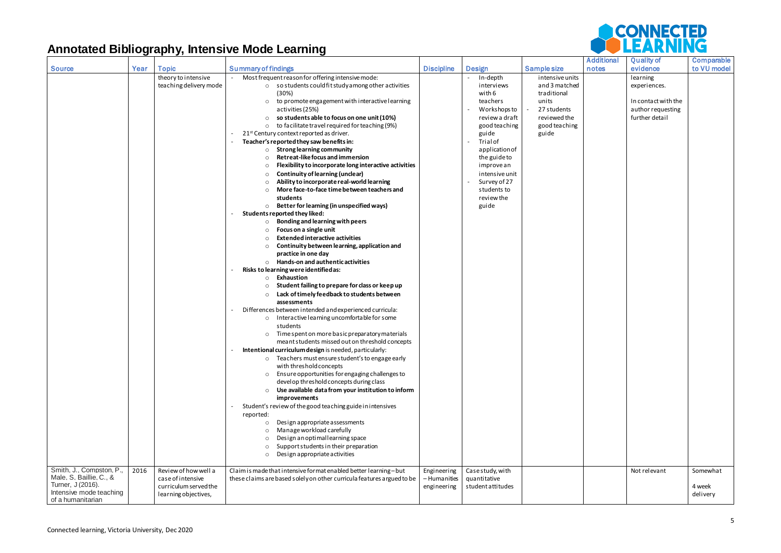| <b>Source</b>            | Year | <b>Topic</b>           | <b>Summary of findings</b>                                             | <b>Discipline</b> | <b>Design</b>     | Sample size     | <b>Additional</b><br>notes | <b>Quality of</b><br>evidence | Comparable<br>to VU model |
|--------------------------|------|------------------------|------------------------------------------------------------------------|-------------------|-------------------|-----------------|----------------------------|-------------------------------|---------------------------|
|                          |      | theory to intensive    | Most frequent reason for offering intensive mode:                      |                   | In-depth          | intensive units |                            | learning                      |                           |
|                          |      |                        |                                                                        |                   |                   |                 |                            |                               |                           |
|                          |      | teaching delivery mode | $\circ$ so students could fit study among other activities             |                   | interviews        | and 3 matched   |                            | experiences.                  |                           |
|                          |      |                        | (30%)                                                                  |                   | with 6            | traditional     |                            |                               |                           |
|                          |      |                        | o to promote engagement with interactive learning                      |                   | teachers          | units           |                            | In contact with the           |                           |
|                          |      |                        | activities (25%)                                                       |                   | Workshops to      | 27 students     |                            | author requesting             |                           |
|                          |      |                        | so students able to focus on one unit (10%)                            |                   | review a draft    | reviewed the    |                            | further detail                |                           |
|                          |      |                        | o to facilitate travel required for teaching (9%)                      |                   | good teaching     | good teaching   |                            |                               |                           |
|                          |      |                        | 21 <sup>st</sup> Century context reported as driver.                   |                   | guide             | guide           |                            |                               |                           |
|                          |      |                        | Teacher's reported they saw benefits in:                               |                   | Trial of          |                 |                            |                               |                           |
|                          |      |                        | $\circ$ Strong learning community                                      |                   | application of    |                 |                            |                               |                           |
|                          |      |                        | Retreat-like focus and immersion                                       |                   | the guide to      |                 |                            |                               |                           |
|                          |      |                        | Flexibility to incorporate long interactive activities                 |                   | improve an        |                 |                            |                               |                           |
|                          |      |                        | <b>Continuity of learning (unclear)</b><br>$\circ$                     |                   | intensive unit    |                 |                            |                               |                           |
|                          |      |                        | Ability to incorporate real-world learning<br>$\circ$                  |                   | Survey of 27      |                 |                            |                               |                           |
|                          |      |                        | More face-to-face time between teachers and                            |                   | students to       |                 |                            |                               |                           |
|                          |      |                        | students                                                               |                   | review the        |                 |                            |                               |                           |
|                          |      |                        | $\circ$ Better for learning (in unspecified ways)                      |                   | guide             |                 |                            |                               |                           |
|                          |      |                        | Students reported they liked:                                          |                   |                   |                 |                            |                               |                           |
|                          |      |                        |                                                                        |                   |                   |                 |                            |                               |                           |
|                          |      |                        | Bonding and learning with peers<br>$\circ$                             |                   |                   |                 |                            |                               |                           |
|                          |      |                        | Focus on a single unit                                                 |                   |                   |                 |                            |                               |                           |
|                          |      |                        | <b>Extended interactive activities</b>                                 |                   |                   |                 |                            |                               |                           |
|                          |      |                        | Continuity between learning, application and                           |                   |                   |                 |                            |                               |                           |
|                          |      |                        | practice in one day                                                    |                   |                   |                 |                            |                               |                           |
|                          |      |                        | $\circ$ Hands-on and authentic activities                              |                   |                   |                 |                            |                               |                           |
|                          |      |                        | Risks to learning were identified as:                                  |                   |                   |                 |                            |                               |                           |
|                          |      |                        | $\circ$ Exhaustion                                                     |                   |                   |                 |                            |                               |                           |
|                          |      |                        | Student failing to prepare for class or keep up                        |                   |                   |                 |                            |                               |                           |
|                          |      |                        | Lack of timely feedback to students between<br>$\circ$                 |                   |                   |                 |                            |                               |                           |
|                          |      |                        | assessments                                                            |                   |                   |                 |                            |                               |                           |
|                          |      |                        | Differences between intended and experienced curricula:                |                   |                   |                 |                            |                               |                           |
|                          |      |                        | o Interactive learning uncomfortable for some                          |                   |                   |                 |                            |                               |                           |
|                          |      |                        | students                                                               |                   |                   |                 |                            |                               |                           |
|                          |      |                        | Time spent on more basic preparatory materials                         |                   |                   |                 |                            |                               |                           |
|                          |      |                        | meant students missed out on threshold concepts                        |                   |                   |                 |                            |                               |                           |
|                          |      |                        |                                                                        |                   |                   |                 |                            |                               |                           |
|                          |      |                        | Intentional curriculum design is needed, particularly:                 |                   |                   |                 |                            |                               |                           |
|                          |      |                        | o Teachers must ensure student's to engage early                       |                   |                   |                 |                            |                               |                           |
|                          |      |                        | with threshold concepts                                                |                   |                   |                 |                            |                               |                           |
|                          |      |                        | o Ensure opportunities for engaging challenges to                      |                   |                   |                 |                            |                               |                           |
|                          |      |                        | devel op threshold concepts during class                               |                   |                   |                 |                            |                               |                           |
|                          |      |                        | $\circ$ Use available data from your institution to inform             |                   |                   |                 |                            |                               |                           |
|                          |      |                        | improvements                                                           |                   |                   |                 |                            |                               |                           |
|                          |      |                        | Student's review of the good teaching guide in intensives              |                   |                   |                 |                            |                               |                           |
|                          |      |                        | reported:                                                              |                   |                   |                 |                            |                               |                           |
|                          |      |                        | Design appropriate assessments<br>$\circ$                              |                   |                   |                 |                            |                               |                           |
|                          |      |                        | Manage workload carefully                                              |                   |                   |                 |                            |                               |                           |
|                          |      |                        | Design an optimal learning space                                       |                   |                   |                 |                            |                               |                           |
|                          |      |                        | Support students in their preparation<br>$\circ$                       |                   |                   |                 |                            |                               |                           |
|                          |      |                        | Design appropriate activities<br>$\circ$                               |                   |                   |                 |                            |                               |                           |
|                          |      |                        |                                                                        |                   |                   |                 |                            |                               |                           |
| Smith, J., Compston, P., | 2016 | Review of how well a   | Claim is made that intensive format enabled better learning-but        |                   |                   |                 |                            | Not relevant                  | Somewhat                  |
| Male, S, Baillie, C., &  |      |                        |                                                                        | Engineering       | Casestudy, with   |                 |                            |                               |                           |
| Turner, J (2016).        |      | case of intensive      | these claims are based solely on other curricula features argued to be | - Humanities      | quantitative      |                 |                            |                               |                           |
| Intensive mode teaching  |      | curriculum served the  |                                                                        | engineering       | student attitudes |                 |                            |                               | 4 week                    |
| of a humanitarian        |      | learning objectives,   |                                                                        |                   |                   |                 |                            |                               | delivery                  |
|                          |      |                        |                                                                        |                   |                   |                 |                            |                               |                           |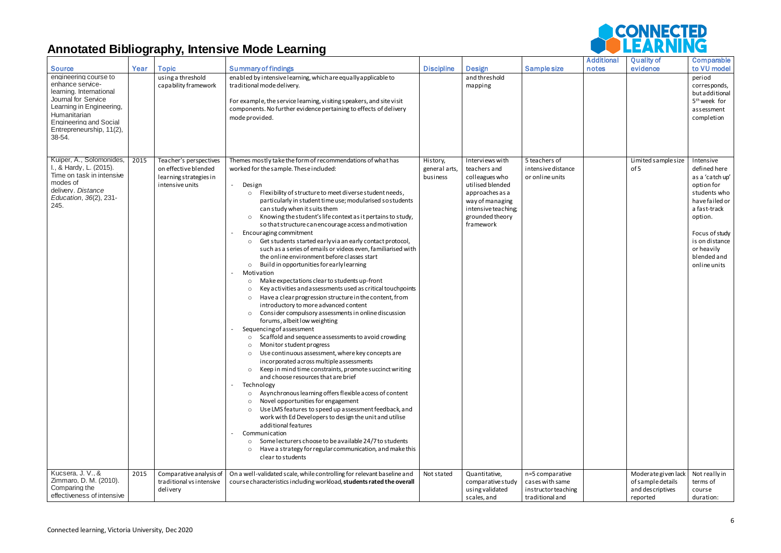

|                                                                                                                                                                                                                | ີ    | <u>траји по </u>                                                                            |                                                                                                                                                                                                                                                                                                                                                                                                                                                                                                                                                                                                                                                                                                                                                                                                                                                                                                                                                                                                                                                                                                                                                                                                                                                                                                                                                                                                                                                                                                                                                                                                                                                                                                                                                                                                                                                                                        |                                       |                                                                                                                                                                    |                                                                              |                            |                                                                          |                                                                                                                                                                                                          |
|----------------------------------------------------------------------------------------------------------------------------------------------------------------------------------------------------------------|------|---------------------------------------------------------------------------------------------|----------------------------------------------------------------------------------------------------------------------------------------------------------------------------------------------------------------------------------------------------------------------------------------------------------------------------------------------------------------------------------------------------------------------------------------------------------------------------------------------------------------------------------------------------------------------------------------------------------------------------------------------------------------------------------------------------------------------------------------------------------------------------------------------------------------------------------------------------------------------------------------------------------------------------------------------------------------------------------------------------------------------------------------------------------------------------------------------------------------------------------------------------------------------------------------------------------------------------------------------------------------------------------------------------------------------------------------------------------------------------------------------------------------------------------------------------------------------------------------------------------------------------------------------------------------------------------------------------------------------------------------------------------------------------------------------------------------------------------------------------------------------------------------------------------------------------------------------------------------------------------------|---------------------------------------|--------------------------------------------------------------------------------------------------------------------------------------------------------------------|------------------------------------------------------------------------------|----------------------------|--------------------------------------------------------------------------|----------------------------------------------------------------------------------------------------------------------------------------------------------------------------------------------------------|
| <b>Source</b>                                                                                                                                                                                                  | Year | <b>Topic</b>                                                                                | <b>Summary of findings</b>                                                                                                                                                                                                                                                                                                                                                                                                                                                                                                                                                                                                                                                                                                                                                                                                                                                                                                                                                                                                                                                                                                                                                                                                                                                                                                                                                                                                                                                                                                                                                                                                                                                                                                                                                                                                                                                             | <b>Discipline</b>                     | <b>Design</b>                                                                                                                                                      | <b>Sample size</b>                                                           | <b>Additional</b><br>notes | <b>Quality of</b><br>evidence                                            | Comparable<br>to VU model                                                                                                                                                                                |
| engineering course to<br>enhance service-<br>learning. International<br>Journal for Service<br>Learning in Engineering,<br>Humanitarian<br><b>Engineering and Social</b><br>Entrepreneurship, 11(2),<br>38-54. |      | using a threshold<br>capability framework                                                   | enabled by intensive learning, which are equally applicable to<br>traditional mode delivery.<br>For example, the service learning, visiting speakers, and site visit<br>components. No further evidence pertaining to effects of delivery<br>mode provided.                                                                                                                                                                                                                                                                                                                                                                                                                                                                                                                                                                                                                                                                                                                                                                                                                                                                                                                                                                                                                                                                                                                                                                                                                                                                                                                                                                                                                                                                                                                                                                                                                            |                                       | and threshold<br>mapping                                                                                                                                           |                                                                              |                            |                                                                          | period<br>corresponds,<br>but additional<br>5 <sup>th</sup> week for<br>assessment<br>completion                                                                                                         |
| Kuiper, A., Solomonides,<br>I., & Hardy, L. (2015).<br>Time on task in intensive<br>modes of<br>delivery. Distance<br>Education, 36(2), 231-<br>245.                                                           | 2015 | Teacher's perspectives<br>on effective blended<br>learning strategies in<br>intensive units | Themes mostly take the form of recommendations of what has<br>worked for the sample. These included:<br>Design<br>$\sim$<br>Flexibility of structure to meet diverse student needs,<br>$\circ$<br>particularly in student time use; modularised sostudents<br>can study when it suits them<br>Knowing the student's life context as it pertains to study,<br>$\circ$<br>so that structure can encourage access and motivation<br>Encouraging commitment<br>o Get students started early via an early contact protocol,<br>such as a series of emails or videos even, familiarised with<br>the online environment before classes start<br>Build in opportunities for early learning<br>$\circ$<br>Motivation<br>Make expectations clear to students up-front<br>$\circ$<br>Key activities and assessments used as critical touchpoints<br>$\circ$<br>Have a clear progression structure in the content, from<br>$\circ$<br>introductory to more advanced content<br>Consider compulsory assessments in online discussion<br>$\circ$<br>forums, albeit low weighting<br>Sequencing of assessment<br>Scaffold and sequence assessments to avoid crowding<br>Monitor student progress<br>$\circ$<br>Use continuous assessment, where key concepts are<br>$\circ$<br>incorporated across multiple assessments<br>Keep in mind time constraints, promote succinct writing<br>$\circ$<br>and choose resources that are brief<br>Technology<br>Asynchronous learning offers flexible access of content<br>$\circ$<br>Novel opportunities for engagement<br>Use LMS features to speed up assessment feedback, and<br>$\circ$<br>work with Ed Developers to design the unit and utilise<br>additional features<br>Communication<br>Some lecturers choose to be available 24/7 to students<br>$\circ$<br>Have a strategy for regular communication, and make this<br>$\circ$<br>clear to students | History,<br>general arts,<br>business | Interviews with<br>teachers and<br>colleagues who<br>utilised blended<br>approaches as a<br>way of managing<br>intensive teaching;<br>grounded theory<br>framework | 5 teachers of<br>intensive distance<br>or online units                       |                            | Limited sample size<br>of 5                                              | Intensive<br>defined here<br>as a 'catch up'<br>option for<br>students who<br>have failed or<br>a fast-track<br>option.<br>Focus of study<br>is on distance<br>or heavily<br>blended and<br>online units |
| Kucsera, J. V., &<br>Zimmaro, D. M. (2010).<br>Comparing the<br>effectiveness of intensive                                                                                                                     | 2015 | Comparative analysis of<br>traditional vs intensive<br>delivery                             | On a well-validated scale, while controlling for relevant baseline and<br>course characteristics including workload, students rated the overall                                                                                                                                                                                                                                                                                                                                                                                                                                                                                                                                                                                                                                                                                                                                                                                                                                                                                                                                                                                                                                                                                                                                                                                                                                                                                                                                                                                                                                                                                                                                                                                                                                                                                                                                        | Not stated                            | Quantitative,<br>comparative study<br>using validated<br>scales, and                                                                                               | n=5 comparative<br>cases with same<br>instructor teaching<br>traditional and |                            | Moderate given lack<br>of sample details<br>and descriptives<br>reported | Not really in<br>terms of<br>course<br>duration:                                                                                                                                                         |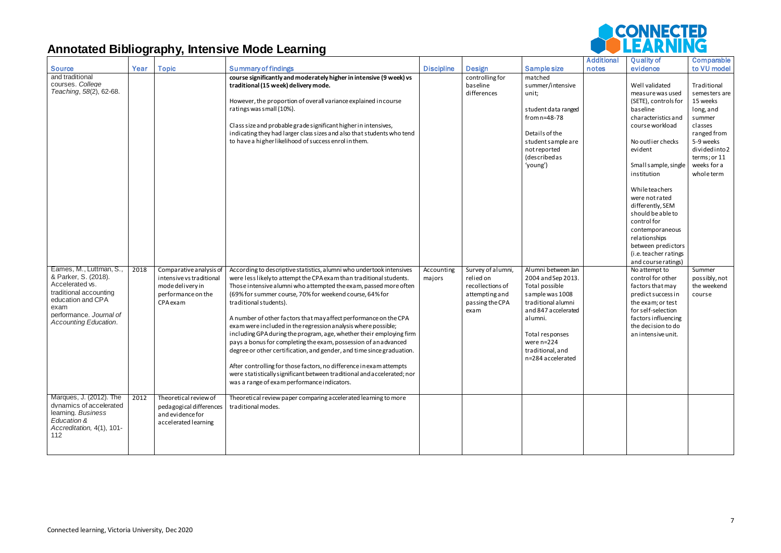|                                                                                                                                                                               |      |                                                                                                           |                                                                                                                                                                                                                                                                                                                                                                                                                                                                                                                                                                                                                                                                                                                                                                                                                                                               |                      |                                                                                                 |                                                                                                                                                                                                                 | <b>Additional</b> | <b>Quality of</b>                                                                                                                                                                                                                                                                                                                                                                                         | <b>Comparable</b>                                                                                                                                                                   |
|-------------------------------------------------------------------------------------------------------------------------------------------------------------------------------|------|-----------------------------------------------------------------------------------------------------------|---------------------------------------------------------------------------------------------------------------------------------------------------------------------------------------------------------------------------------------------------------------------------------------------------------------------------------------------------------------------------------------------------------------------------------------------------------------------------------------------------------------------------------------------------------------------------------------------------------------------------------------------------------------------------------------------------------------------------------------------------------------------------------------------------------------------------------------------------------------|----------------------|-------------------------------------------------------------------------------------------------|-----------------------------------------------------------------------------------------------------------------------------------------------------------------------------------------------------------------|-------------------|-----------------------------------------------------------------------------------------------------------------------------------------------------------------------------------------------------------------------------------------------------------------------------------------------------------------------------------------------------------------------------------------------------------|-------------------------------------------------------------------------------------------------------------------------------------------------------------------------------------|
| <b>Source</b><br>and traditional<br>courses. College<br>Teaching, 58(2), 62-68.                                                                                               | Year | <b>Topic</b>                                                                                              | <b>Summary of findings</b><br>course significantly and moderately higher in intensive (9 week) vs<br>traditional (15 week) delivery mode.<br>However, the proportion of overall variance explained in course<br>ratings was small (10%).<br>Class size and probable grade significant higher in intensives,<br>indicating they had larger class sizes and also that students who tend<br>to have a higher likelihood of success enrol in them.                                                                                                                                                                                                                                                                                                                                                                                                                | <b>Discipline</b>    | <b>Design</b><br>controlling for<br>baseline<br>differences                                     | <b>Sample size</b><br>matched<br>summer/intensive<br>unit;<br>student data ranged<br>from n=48-78<br>Details of the<br>student sample are<br>not reported<br>(describedas<br>'young')                           | notes             | evidence<br>Well validated<br>measure was used<br>(SETE), controls for<br>baseline<br>characteristics and<br>course workload<br>No outlier checks<br>evident<br>Small sample, single<br>institution<br>While teachers<br>were not rated<br>differently, SEM<br>should be able to<br>control for<br>contemporaneous<br>relationships<br>between predictors<br>(i.e. teacher ratings<br>and course ratings) | to VU model<br>Traditional<br>semesters are<br>15 weeks<br>long, and<br>summer<br>classes<br>ranged from<br>5-9 weeks<br>divided into 2<br>terms; or 11<br>weeks for a<br>wholeterm |
| Eames, M., Luttman, S.,<br>& Parker, S. (2018).<br>Accelerated vs.<br>traditional accounting<br>education and CPA<br>exam<br>performance. Journal of<br>Accounting Education. | 2018 | Comparative analysis of<br>intensive vs traditional<br>mode delivery in<br>performance on the<br>CPA exam | According to descriptive statistics, alumni who undertook intensives<br>were less likely to attempt the CPA exam than traditional students.<br>Those intensive alumni who attempted the exam, passed more often<br>(69% for summer course, 70% for weekend course, 64% for<br>traditional students).<br>A number of other factors that may affect performance on the CPA<br>exam were included in the regression analysis where possible;<br>including GPA during the program, age, whether their employing firm<br>pays a bonus for completing the exam, possession of an advanced<br>degree or other certification, and gender, and time since graduation.<br>After controlling for those factors, no difference in exam attempts<br>were statistically significant between traditional and accelerated; nor<br>was a range of exam performance indicators. | Accounting<br>majors | Survey of alumni,<br>relied on<br>recollections of<br>attempting and<br>passing the CPA<br>exam | Alumni between Jan<br>2004 and Sep 2013.<br>Total possible<br>sample was 1008<br>traditional alumni<br>and 847 accelerated<br>alumni.<br>Total responses<br>were n=224<br>traditional, and<br>n=284 accelerated |                   | No attempt to<br>control for other<br>factors that may<br>predict success in<br>the exam; or test<br>for self-selection<br>factors influencing<br>the decision to do<br>an intensive unit.                                                                                                                                                                                                                | Summer<br>possibly, not<br>the weekend<br>course                                                                                                                                    |
| Marques, J. (2012). The<br>dynamics of accelerated<br>learning. Business<br>Education &<br>Accreditation, 4(1), 101-<br>112                                                   | 2012 | Theoretical review of<br>pedagogical differences<br>and evidence for<br>accelerated learning              | Theoretical review paper comparing accelerated learning to more<br>traditional modes.                                                                                                                                                                                                                                                                                                                                                                                                                                                                                                                                                                                                                                                                                                                                                                         |                      |                                                                                                 |                                                                                                                                                                                                                 |                   |                                                                                                                                                                                                                                                                                                                                                                                                           |                                                                                                                                                                                     |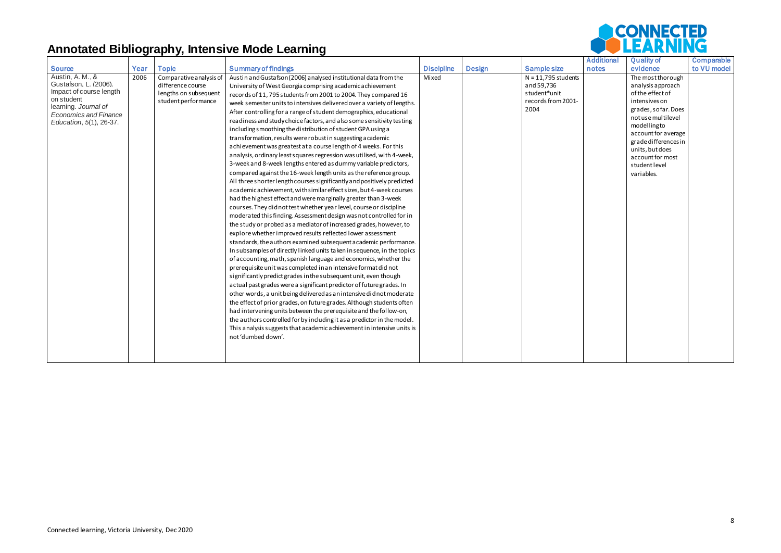|                                    |      |                         |                                                                         |                   |               |                       | <b>Additional</b> | <b>Quality of</b>                  | <b>Comparable</b> |
|------------------------------------|------|-------------------------|-------------------------------------------------------------------------|-------------------|---------------|-----------------------|-------------------|------------------------------------|-------------------|
| <b>Source</b>                      | Year | <b>Topic</b>            | <b>Summary of findings</b>                                              | <b>Discipline</b> | <b>Design</b> | <b>Sample size</b>    | notes             | evidence                           | to VU model       |
| Austin, A. M., &                   | 2006 | Comparative analysis of | Austin and Gustafson (2006) analysed institutional data from the        | Mixed             |               | $N = 11,795$ students |                   | The most thorough                  |                   |
| Gustafson, L. (2006).              |      | difference course       | University of West Georgia comprising a cademic a chievement            |                   |               | and 59,736            |                   | analysis approach                  |                   |
| Impact of course length            |      | lengths on subsequent   | records of 11, 795 students from 2001 to 2004. They compared 16         |                   |               | student*unit          |                   | of the effect of                   |                   |
| on student<br>learning. Journal of |      | student performance     | week semester units to intensives delivered over a variety of lengths.  |                   |               | records from 2001-    |                   | intensives on                      |                   |
| <b>Economics and Finance</b>       |      |                         | After controlling for a range of student demographics, educational      |                   |               | 2004                  |                   | grades, sofar. Does                |                   |
| Education, 5(1), 26-37.            |      |                         | readiness and study choice factors, and also some sensitivity testing   |                   |               |                       |                   | not use multilevel                 |                   |
|                                    |      |                         | including smoothing the distribution of student GPA using a             |                   |               |                       |                   | modellingto<br>account for average |                   |
|                                    |      |                         | transformation, results were robust in suggesting a cademic             |                   |               |                       |                   | grade differences in               |                   |
|                                    |      |                         | achievement was greatest at a course length of 4 weeks. For this        |                   |               |                       |                   | units, but does                    |                   |
|                                    |      |                         | analysis, ordinary least squares regression was utilised, with 4-week,  |                   |               |                       |                   | account for most                   |                   |
|                                    |      |                         | 3-week and 8-week lengths entered as dummy variable predictors,         |                   |               |                       |                   | studentlevel                       |                   |
|                                    |      |                         | compared against the 16-week length units as the reference group.       |                   |               |                       |                   | variables.                         |                   |
|                                    |      |                         | All three shorter length courses significantly and positively predicted |                   |               |                       |                   |                                    |                   |
|                                    |      |                         | academic achievement, with similar effect sizes, but 4-week courses     |                   |               |                       |                   |                                    |                   |
|                                    |      |                         | had the highest effect and were marginally greater than 3-week          |                   |               |                       |                   |                                    |                   |
|                                    |      |                         | courses. They didnot test whether year level, course or discipline      |                   |               |                       |                   |                                    |                   |
|                                    |      |                         | moderated this finding. Assessment design was not controlled for in     |                   |               |                       |                   |                                    |                   |
|                                    |      |                         | the study or probed as a mediator of increased grades, however, to      |                   |               |                       |                   |                                    |                   |
|                                    |      |                         | explore whether improved results reflected lower assessment             |                   |               |                       |                   |                                    |                   |
|                                    |      |                         | standards, the authors examined subsequent a cademic performance.       |                   |               |                       |                   |                                    |                   |
|                                    |      |                         | In subsamples of directly linked units taken in sequence, in the topics |                   |               |                       |                   |                                    |                   |
|                                    |      |                         | of accounting, math, spanish language and economics, whether the        |                   |               |                       |                   |                                    |                   |
|                                    |      |                         | prerequisite unit was completed in an intensive format did not          |                   |               |                       |                   |                                    |                   |
|                                    |      |                         | significantly predict grades in the subsequent unit, even though        |                   |               |                       |                   |                                    |                   |
|                                    |      |                         | actual past grades were a significant predictor of future grades. In    |                   |               |                       |                   |                                    |                   |
|                                    |      |                         | other words, a unit being delivered as an intensive didnot moderate     |                   |               |                       |                   |                                    |                   |
|                                    |      |                         | the effect of prior grades, on future grades. Although students often   |                   |               |                       |                   |                                    |                   |
|                                    |      |                         | had intervening units between the prerequisite and the follow-on,       |                   |               |                       |                   |                                    |                   |
|                                    |      |                         | the authors controlled for by including it as a predictor in the model. |                   |               |                       |                   |                                    |                   |
|                                    |      |                         | This analysis suggests that academic achievement in intensive units is  |                   |               |                       |                   |                                    |                   |
|                                    |      |                         | not 'dumbed down'.                                                      |                   |               |                       |                   |                                    |                   |
|                                    |      |                         |                                                                         |                   |               |                       |                   |                                    |                   |
|                                    |      |                         |                                                                         |                   |               |                       |                   |                                    |                   |
|                                    |      |                         |                                                                         |                   |               |                       |                   |                                    |                   |